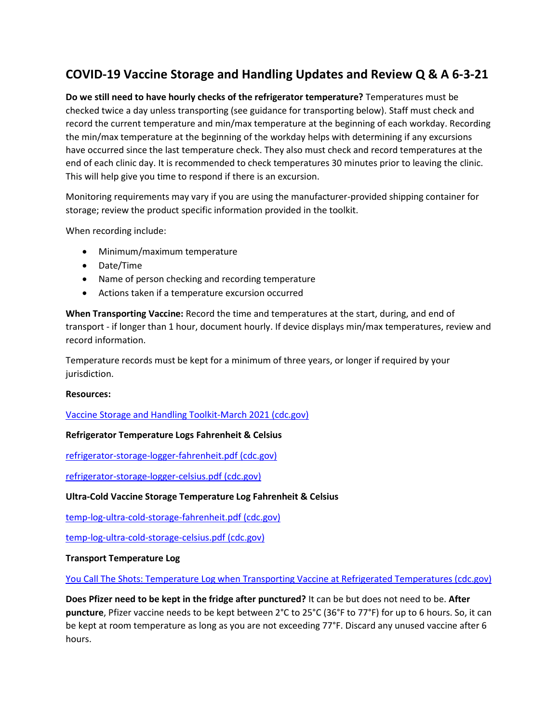# **COVID-19 Vaccine Storage and Handling Updates and Review Q & A 6-3-21**

**Do we still need to have hourly checks of the refrigerator temperature?** Temperatures must be checked twice a day unless transporting (see guidance for transporting below). Staff must check and record the current temperature and min/max temperature at the beginning of each workday. Recording the min/max temperature at the beginning of the workday helps with determining if any excursions have occurred since the last temperature check. They also must check and record temperatures at the end of each clinic day. It is recommended to check temperatures 30 minutes prior to leaving the clinic. This will help give you time to respond if there is an excursion.

Monitoring requirements may vary if you are using the manufacturer-provided shipping container for storage; review the product specific information provided in the toolkit.

When recording include:

- Minimum/maximum temperature
- Date/Time
- Name of person checking and recording temperature
- Actions taken if a temperature excursion occurred

**When Transporting Vaccine:** Record the time and temperatures at the start, during, and end of transport - if longer than 1 hour, document hourly. If device displays min/max temperatures, review and record information.

Temperature records must be kept for a minimum of three years, or longer if required by your jurisdiction.

## **Resources:**

[Vaccine Storage and Handling Toolkit-March 2021 \(cdc.gov\)](https://www.cdc.gov/vaccines/hcp/admin/storage/toolkit/storage-handling-toolkit.pdf)

## **Refrigerator Temperature Logs Fahrenheit & Celsius**

[refrigerator-storage-logger-fahrenheit.pdf \(cdc.gov\)](https://www.cdc.gov/vaccines/covid-19/downloads/refrigerator-storage-logger-fahrenheit.pdf)

[refrigerator-storage-logger-celsius.pdf \(cdc.gov\)](https://www.cdc.gov/vaccines/covid-19/downloads/refrigerator-storage-logger-celsius.pdf)

## **Ultra-Cold Vaccine Storage Temperature Log Fahrenheit & Celsius**

[temp-log-ultra-cold-storage-fahrenheit.pdf \(cdc.gov\)](https://www.cdc.gov/vaccines/covid-19/info-by-product/pfizer/downloads/temp-log-ultra-cold-storage-fahrenheit.pdf)

[temp-log-ultra-cold-storage-celsius.pdf \(cdc.gov\)](https://www.cdc.gov/vaccines/covid-19/info-by-product/pfizer/downloads/temp-log-ultra-cold-storage-celsius.pdf)

## **Transport Temperature Log**

[You Call The Shots: Temperature Log when Transporting Vaccine at Refrigerated Temperatures \(cdc.gov\)](https://www.cdc.gov/vaccines/covid-19/downloads/transport-temperature-log.pdf)

**Does Pfizer need to be kept in the fridge after punctured?** It can be but does not need to be. **After puncture**, Pfizer vaccine needs to be kept between 2°C to 25°C (36°F to 77°F) for up to 6 hours. So, it can be kept at room temperature as long as you are not exceeding 77°F. Discard any unused vaccine after 6 hours.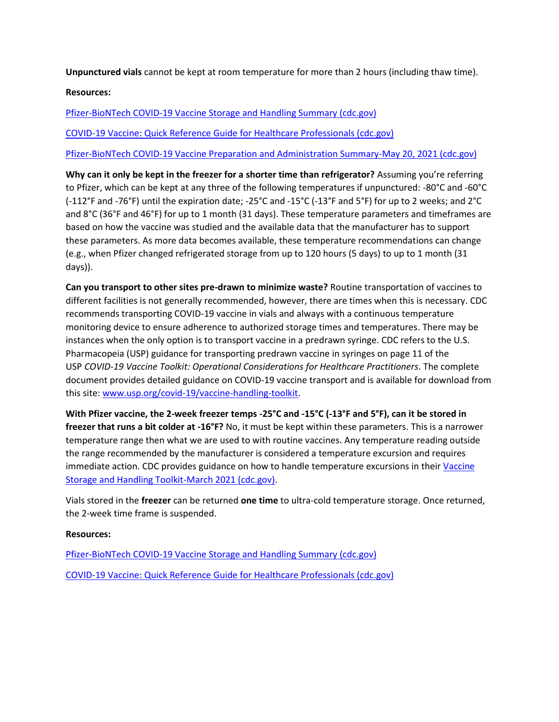**Unpunctured vials** cannot be kept at room temperature for more than 2 hours (including thaw time).

**Resources:** 

[Pfizer-BioNTech COVID-19 Vaccine Storage and Handling Summary \(cdc.gov\)](https://www.cdc.gov/vaccines/covid-19/info-by-product/pfizer/downloads/storage-summary.pdf)

[COVID-19 Vaccine: Quick Reference Guide for Healthcare Professionals \(cdc.gov\)](https://www.cdc.gov/vaccines/covid-19/downloads/covid19-vaccine-quick-reference-guide-2pages.pdf?ACSTrackingID=USCDC_2120-DM53231&ACSTrackingLabel=New%20Reference%20Tools%20Are%20Available%21&deliveryName=USCDC_2120-DM53231)

[Pfizer-BioNTech COVID-19 Vaccine Preparation and Administration Summary-May 20, 2021 \(cdc.gov\)](https://www.cdc.gov/vaccines/covid-19/info-by-product/pfizer/downloads/prep-and-admin-summary.pdf)

**Why can it only be kept in the freezer for a shorter time than refrigerator?** Assuming you're referring to Pfizer, which can be kept at any three of the following temperatures if unpunctured: -80°C and -60°C (-112°F and -76°F) until the expiration date; -25°C and -15°C (-13°F and 5°F) for up to 2 weeks; and 2°C and 8°C (36°F and 46°F) for up to 1 month (31 days). These temperature parameters and timeframes are based on how the vaccine was studied and the available data that the manufacturer has to support these parameters. As more data becomes available, these temperature recommendations can change (e.g., when Pfizer changed refrigerated storage from up to 120 hours (5 days) to up to 1 month (31 days)).

**Can you transport to other sites pre-drawn to minimize waste?** Routine transportation of vaccines to different facilities is not generally recommended, however, there are times when this is necessary. CDC recommends transporting COVID-19 vaccine in vials and always with a continuous temperature monitoring device to ensure adherence to authorized storage times and temperatures. There may be instances when the only option is to transport vaccine in a predrawn syringe. CDC refers to the U.S. Pharmacopeia (USP) guidance for transporting predrawn vaccine in syringes on page 11 of the USP *COVID-19 Vaccine Toolkit: Operational Considerations for Healthcare Practitioners*. The complete document provides detailed guidance on COVID-19 vaccine transport and is available for download from this site: [www.usp.org/covid-19/vaccine-handling-toolkit.](https://www.usp.org/covid-19/vaccine-handling-toolkit)

**With Pfizer vaccine, the 2-week freezer temps -25°C and -15°C (-13°F and 5°F), can it be stored in freezer that runs a bit colder at -16°F?** No, it must be kept within these parameters. This is a narrower temperature range then what we are used to with routine vaccines. Any temperature reading outside the range recommended by the manufacturer is considered a temperature excursion and requires immediate action. CDC provides guidance on how to handle temperature excursions in their Vaccine [Storage and Handling Toolkit-March 2021 \(cdc.gov\).](https://www.cdc.gov/vaccines/hcp/admin/storage/toolkit/storage-handling-toolkit.pdf#page=52)

Vials stored in the **freezer** can be returned **one time** to ultra-cold temperature storage. Once returned, the 2-week time frame is suspended.

## **Resources:**

[Pfizer-BioNTech COVID-19 Vaccine Storage and Handling Summary \(cdc.gov\)](https://www.cdc.gov/vaccines/covid-19/info-by-product/pfizer/downloads/storage-summary.pdf) [COVID-19 Vaccine: Quick Reference Guide for Healthcare Professionals \(cdc.gov\)](https://www.cdc.gov/vaccines/covid-19/downloads/covid19-vaccine-quick-reference-guide-2pages.pdf?ACSTrackingID=USCDC_2120-DM53231&ACSTrackingLabel=New%20Reference%20Tools%20Are%20Available%21&deliveryName=USCDC_2120-DM53231)